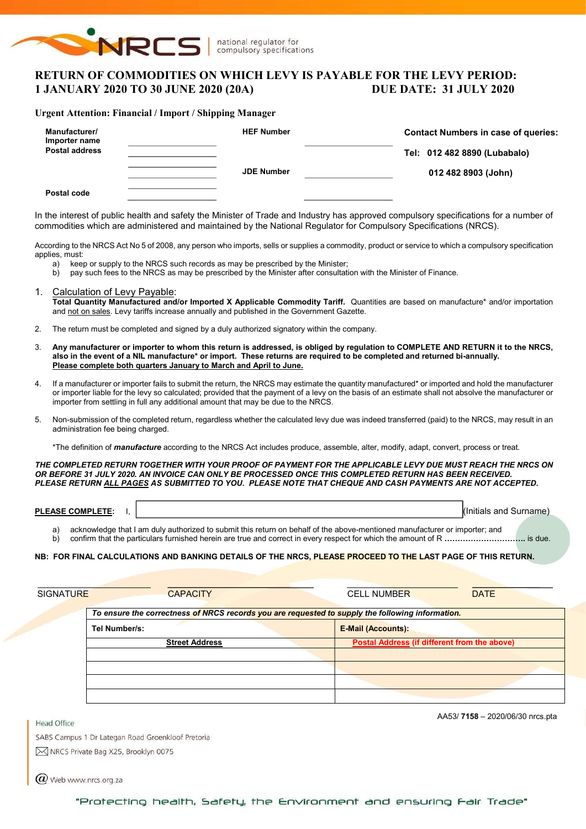

# RETURN OF COMMODITIES ON WHICH LEVY IS PAYABLE FOR THE LEVY PERIOD: 1 JANUARY 2020 TO 30 JUNE 2020 (20A) DUE DATE: 31 JULY 2020

#### Urgent Attention: Financial / Import / Shipping Manager

| Manufacturer/<br>Importer name<br><b>Postal address</b> | <b>HEF Number</b> | <b>Contact Numbers in case of queries:</b><br>Tel: 012 482 8890 (Lubabalo) |
|---------------------------------------------------------|-------------------|----------------------------------------------------------------------------|
|                                                         | <b>JDE Number</b> | 012 482 8903 (John)                                                        |
| Postal code                                             |                   |                                                                            |

In the interest of public health and safety the Minister of Trade and Industry has approved compulsory specifications for a number of commodities which are administered and maintained by the National Regulator for Compulsory Specifications (NRCS).

According to the NRCS Act No 5 of 2008, any person who imports, sells or supplies a commodity, product or service to which a compulsory specification applies, must:

- a) keep or supply to the NRCS such records as may be prescribed by the Minister;<br>b) pay such fees to the NRCS as may be prescribed by the Minister after consultation
- pay such fees to the NRCS as may be prescribed by the Minister after consultation with the Minister of Finance.
- 1. Calculation of Levy Payable: Total Quantity Manufactured and/or Imported X Applicable Commodity Tariff. Quantities are based on manufacture\* and/or importation and not on sales. Levy tariffs increase annually and published in the Government Gazette.
- 2. The return must be completed and signed by a duly authorized signatory within the company.
- 3. Any manufacturer or importer to whom this return is addressed, is obliged by regulation to COMPLETE AND RETURN it to the NRCS, also in the event of a NIL manufacture\* or import. These returns are required to be completed and returned bi-annually. Please complete both quarters January to March and April to June.
- If a manufacturer or importer fails to submit the return, the NRCS may estimate the quantity manufactured\* or imported and hold the manufacturer or importer liable for the levy so calculated; provided that the payment of a levy on the basis of an estimate shall not absolve the manufacturer or importer from settling in full any additional amount that may be due to the NRCS.
- 5. Non-submission of the completed return, regardless whether the calculated levy due was indeed transferred (paid) to the NRCS, may result in an administration fee being charged.

\*The definition of *manufacture* according to the NRCS Act includes produce, assemble, alter, modify, adapt, convert, process or treat.

THE COMPLETED RETURN TOGETHER WITH YOUR PROOF OF PAYMENT FOR THE APPLICABLE LEVY DUE MUST REACH THE NRCS ON OR BEFORE 31 JULY 2020. AN INVOICE CAN ONLY BE PROCESSED ONCE THIS COMPLETED RETURN HAS BEEN RECEIVED. PLEASE RETURN ALL PAGES AS SUBMITTED TO YOU. PLEASE NOTE THAT CHEQUE AND CASH PAYMENTS ARE NOT ACCEPTED.

| <b>PLEASE</b><br><b>COMPLETE</b><br>--LEIL. | $\cdots$<br>.<br>and<br>(Initials | Surname |
|---------------------------------------------|-----------------------------------|---------|
|                                             |                                   |         |

a) acknowledge that I am duly authorized to submit this return on behalf of the above-mentioned manufacturer or importer; and

b) confirm that the particulars furnished herein are true and correct in every respect for which the amount of R ………………………………… is due.

#### NB: FOR FINAL CALCULATIONS AND BANKING DETAILS OF THE NRCS, PLEASE PROCEED TO THE LAST PAGE OF THIS RETURN.

| <b>CAPACITY</b>                                                                                  | <b>DATE</b><br><b>CELL NUMBER</b>                   |
|--------------------------------------------------------------------------------------------------|-----------------------------------------------------|
| To ensure the correctness of NRCS records you are requested to supply the following information. |                                                     |
| Tel Number/s:                                                                                    | <b>E-Mail (Accounts):</b>                           |
| <b>Street Address</b>                                                                            | <b>Postal Address (if different from the above)</b> |
|                                                                                                  |                                                     |
|                                                                                                  |                                                     |
|                                                                                                  |                                                     |
|                                                                                                  |                                                     |
|                                                                                                  | <b>SIGNATURE</b>                                    |

AA53/ 7158 – 2020/06/30 nrcs.pta

SABS Campus 1 Dr Lategan Road Groenkloof Pretoria M NRCS Private Bag X25, Brooklyn 0075

 $\omega$  Web www.nrcs.org.za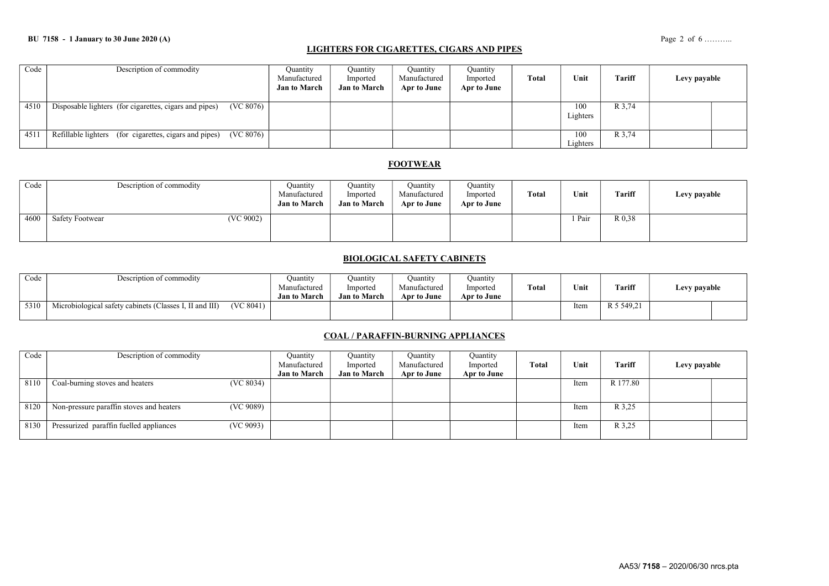### LIGHTERS FOR CIGARETTES, CIGARS AND PIPES

| Code | Description of commodity                                            | Ouantity<br>Manufactured<br><b>Jan to March</b> | Quantity<br>Imported<br><b>Jan to March</b> | <b>Quantity</b><br>Manufactured<br>Apr to June | Quantity<br>Imported<br>Apr to June | Total | Unit            | <b>Tariff</b> | Levy payable |  |
|------|---------------------------------------------------------------------|-------------------------------------------------|---------------------------------------------|------------------------------------------------|-------------------------------------|-------|-----------------|---------------|--------------|--|
| 4510 | (VC 8076)<br>Disposable lighters (for cigarettes, cigars and pipes) |                                                 |                                             |                                                |                                     |       | 100<br>Lighters | R 3,74        |              |  |
| 451  | Refillable lighters (for cigarettes, cigars and pipes)<br>(VC 8076) |                                                 |                                             |                                                |                                     |       | 100<br>Lighters | R 3,74        |              |  |

## **FOOTWEAR**

| Code | Description of commodity            | Quantity<br>Manufactured<br><b>Jan to March</b> | Ouantity<br>Imported<br><b>Jan to March</b> | Ouantity<br>Manufactured<br>Apr to June | Quantity<br>Imported<br>Apr to June | <b>Total</b> | Unit   | Tariff | Levy payable |
|------|-------------------------------------|-------------------------------------------------|---------------------------------------------|-----------------------------------------|-------------------------------------|--------------|--------|--------|--------------|
| 4600 | (VC 9002)<br><b>Safety Footwear</b> |                                                 |                                             |                                         |                                     |              | 1 Pair | R 0.38 |              |

### BIOLOGICAL SAFETY CABINETS

| Code | Description of commodity                                |           | Juantity<br>Manufactured<br><b>Jan to March</b> | Ouantitv<br>Imported<br><b>Jan to March</b> | Ouantıtv<br>Manufactured<br>Apr to June | Ouantity<br>Imported<br>Apr to June | Total | Unit | Tariff     | Levy payable |  |
|------|---------------------------------------------------------|-----------|-------------------------------------------------|---------------------------------------------|-----------------------------------------|-------------------------------------|-------|------|------------|--------------|--|
| 5310 | Microbiological safety cabinets (Classes I, II and III) | (VC 8041) |                                                 |                                             |                                         |                                     |       | Item | R 5 549.21 |              |  |

## COAL / PARAFFIN-BURNING APPLIANCES

| Code | Description of commodity                              | Quantity            | Ouantity            | Quantity     | Quantity    |       |      |          |              |  |
|------|-------------------------------------------------------|---------------------|---------------------|--------------|-------------|-------|------|----------|--------------|--|
|      |                                                       | Manufactured        | Imported            | Manufactured | Imported    | Total | Unit | Tariff   | Levy payable |  |
|      |                                                       | <b>Jan to March</b> | <b>Jan to March</b> | Apr to June  | Apr to June |       |      |          |              |  |
| 8110 | Coal-burning stoves and heaters<br>(VC 8034)          |                     |                     |              |             |       | Item | R 177.80 |              |  |
|      |                                                       |                     |                     |              |             |       |      |          |              |  |
| 8120 | (VC 9089)<br>Non-pressure paraffin stoves and heaters |                     |                     |              |             |       | Item | R 3,25   |              |  |
| 8130 | (VC 9093)<br>Pressurized paraffin fuelled appliances  |                     |                     |              |             |       | Item | R 3,25   |              |  |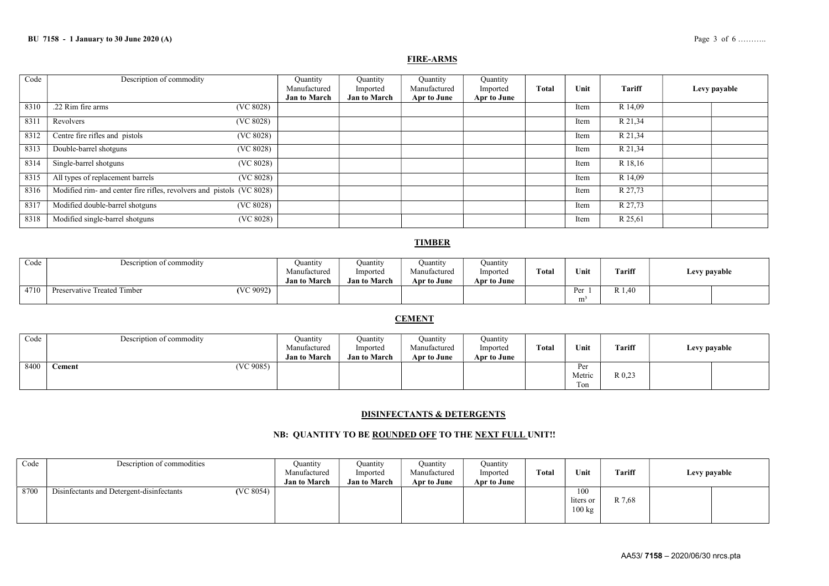#### FIRE-ARMS

| Code | Description of commodity                                              | Quantity                            | Quantity                        | Quantity                    | Quantity                |              |      |         |              |
|------|-----------------------------------------------------------------------|-------------------------------------|---------------------------------|-----------------------------|-------------------------|--------------|------|---------|--------------|
|      |                                                                       | Manufactured<br><b>Jan to March</b> | Imported<br><b>Jan to March</b> | Manufactured<br>Apr to June | Imported<br>Apr to June | <b>Total</b> | Unit | Tariff  | Levy payable |
| 8310 | .22 Rim fire arms<br>(VC 8028)                                        |                                     |                                 |                             |                         |              | Item | R 14,09 |              |
| 8311 | (VC 8028)<br>Revolvers                                                |                                     |                                 |                             |                         |              | Item | R 21,34 |              |
| 8312 | Centre fire rifles and pistols<br>(VC 8028)                           |                                     |                                 |                             |                         |              | Item | R 21,34 |              |
| 8313 | Double-barrel shotguns<br>(VC 8028)                                   |                                     |                                 |                             |                         |              | Item | R 21,34 |              |
| 8314 | Single-barrel shotguns<br>(VC 8028)                                   |                                     |                                 |                             |                         |              | Item | R 18,16 |              |
| 8315 | All types of replacement barrels<br>(VC 8028)                         |                                     |                                 |                             |                         |              | Item | R 14,09 |              |
| 8316 | Modified rim- and center fire rifles, revolvers and pistols (VC 8028) |                                     |                                 |                             |                         |              | Item | R 27,73 |              |
| 8317 | Modified double-barrel shotguns<br>(VC 8028)                          |                                     |                                 |                             |                         |              | Item | R 27,73 |              |
| 8318 | Modified single-barrel shotguns<br>(VC 8028)                          |                                     |                                 |                             |                         |              | Item | R 25,61 |              |

### **TIMBER**

| Code | Description of commodity                 | Juantıty            | Ouantity            | Quantity     | Quantity    |       |                |               |              |
|------|------------------------------------------|---------------------|---------------------|--------------|-------------|-------|----------------|---------------|--------------|
|      |                                          | Manufactured        | Imported            | Manufactured | Imported    | Total | Unit           | <b>Tariff</b> | Levy payable |
|      |                                          | <b>Jan to March</b> | <b>Jan to March</b> | Apr to June  | Apr to June |       |                |               |              |
| 4710 | (VC 9092)<br>Preservative Treated Timber |                     |                     |              |             |       |                | R 1,40        |              |
|      |                                          |                     |                     |              |             |       | m <sup>2</sup> |               |              |

## **CEMENT**

| Code | Description of commodity | Quantity<br>Manufactured<br><b>Jan to March</b> | Ouantity<br>Imported<br><b>Jan to March</b> | Ouantity<br>Manufactured<br>Apr to June | Ouantity<br>Imported<br>Apr to June | Total | Unit                 | Tariff | Levy payable |
|------|--------------------------|-------------------------------------------------|---------------------------------------------|-----------------------------------------|-------------------------------------|-------|----------------------|--------|--------------|
| 8400 | (VC 9085)<br>`ement      |                                                 |                                             |                                         |                                     |       | Per<br>Metric<br>Ton | R 0.23 |              |

### DISINFECTANTS & DETERGENTS

### NB: QUANTITY TO BE ROUNDED OFF TO THE NEXT FULL UNIT!!

| Code | Description of commodities                | Ouantity<br>Manufactured<br><b>Jan to March</b> | Ouantity<br>Imported<br><b>Jan to March</b> | Quantity<br>Manufactured<br>Apr to June | <b>Ouantity</b><br>Imported<br>Apr to June | Total | Unit                                 | <b>Tariff</b> | Levy payable |
|------|-------------------------------------------|-------------------------------------------------|---------------------------------------------|-----------------------------------------|--------------------------------------------|-------|--------------------------------------|---------------|--------------|
| 8700 | Disinfectants and Detergent-disinfectants | (VC 8054)                                       |                                             |                                         |                                            |       | 100<br>liters or<br>$100 \text{ kg}$ | R 7,68        |              |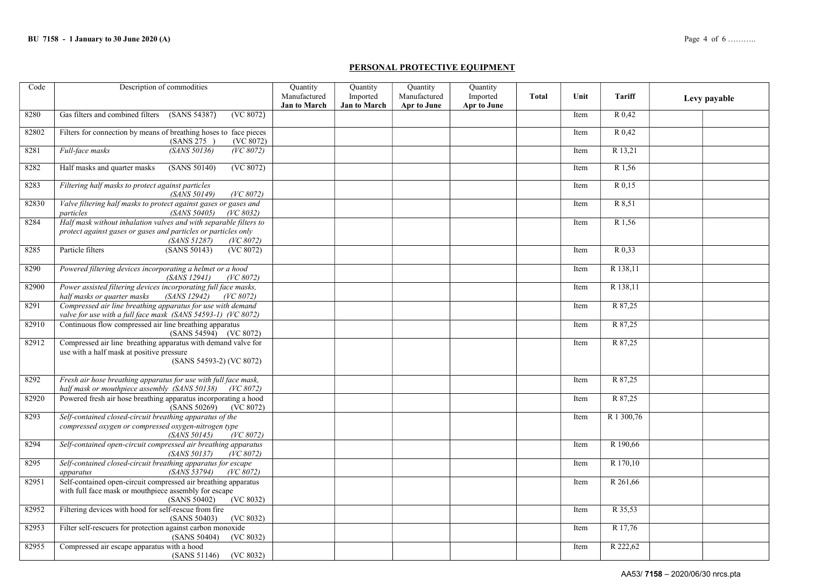### PERSONAL PROTECTIVE EQUIPMENT

| Code  | Description of commodities                                                                                                                                       | <b>Quantity</b>     | Quantity            | Quantity     | Quantity           |              |      |            |              |
|-------|------------------------------------------------------------------------------------------------------------------------------------------------------------------|---------------------|---------------------|--------------|--------------------|--------------|------|------------|--------------|
|       |                                                                                                                                                                  | Manufactured        | Imported            | Manufactured | Imported           | <b>Total</b> | Unit | Tariff     | Levy payable |
| 8280  | Gas filters and combined filters<br>(SANS 54387)<br>(VC 8072)                                                                                                    | <b>Jan to March</b> | <b>Jan to March</b> | Apr to June  | <b>Apr to June</b> |              | Item | R 0.42     |              |
|       |                                                                                                                                                                  |                     |                     |              |                    |              |      |            |              |
| 82802 | Filters for connection by means of breathing hoses to face pieces<br>(SANS 275)<br>(VC 8072)                                                                     |                     |                     |              |                    |              | Item | R 0,42     |              |
| 8281  | (SANS 50136)<br>(VC 8072)<br>Full-face masks                                                                                                                     |                     |                     |              |                    |              | Item | R 13,21    |              |
| 8282  | Half masks and quarter masks<br>(SANS 50140)<br>(VC 8072)                                                                                                        |                     |                     |              |                    |              | Item | R 1,56     |              |
| 8283  | Filtering half masks to protect against particles<br>(SANS 50149)<br>(VC 8072)                                                                                   |                     |                     |              |                    |              | Item | R 0.15     |              |
| 82830 | Valve filtering half masks to protect against gases or gases and<br>particles<br>(SANS 50405)<br>(VC 8032)                                                       |                     |                     |              |                    |              | Item | R 8,51     |              |
| 8284  | Half mask without inhalation valves and with separable filters to<br>protect against gases or gases and particles or particles only<br>(SANS 51287)<br>(VC 8072) |                     |                     |              |                    |              | Item | R 1,56     |              |
| 8285  | Particle filters<br>(SANS 50143)<br>(VC 8072)                                                                                                                    |                     |                     |              |                    |              | Item | R 0,33     |              |
| 8290  | Powered filtering devices incorporating a helmet or a hood<br>(SANS 12941)<br>(VC 8072)                                                                          |                     |                     |              |                    |              | Item | R 138,11   |              |
| 82900 | Power assisted filtering devices incorporating full face masks,<br><i>(SANS 12942)</i><br>half masks or quarter masks<br>(VC 8072)                               |                     |                     |              |                    |              | Item | R 138,11   |              |
| 8291  | Compressed air line breathing apparatus for use with demand<br>valve for use with a full face mask (SANS 54593-1) (VC 8072)                                      |                     |                     |              |                    |              | Item | R 87,25    |              |
| 82910 | Continuous flow compressed air line breathing apparatus<br>(SANS 54594) (VC 8072)                                                                                |                     |                     |              |                    |              | Item | R 87,25    |              |
| 82912 | Compressed air line breathing apparatus with demand valve for<br>use with a half mask at positive pressure<br>(SANS 54593-2) (VC 8072)                           |                     |                     |              |                    |              | Item | R 87,25    |              |
| 8292  | Fresh air hose breathing apparatus for use with full face mask,<br>half mask or mouthpiece assembly (SANS 50138) (VC 8072)                                       |                     |                     |              |                    |              | Item | R 87,25    |              |
| 82920 | Powered fresh air hose breathing apparatus incorporating a hood<br>(SANS 50269)<br>(VC 8072)                                                                     |                     |                     |              |                    |              | Item | R 87,25    |              |
| 8293  | Self-contained closed-circuit breathing apparatus of the<br>compressed oxygen or compressed oxygen-nitrogen type<br>(SANS 50145)<br>(VC 8072)                    |                     |                     |              |                    |              | Item | R 1 300,76 |              |
| 8294  | Self-contained open-circuit compressed air breathing apparatus<br>(VC 8072)<br><i>(SANS 50137)</i>                                                               |                     |                     |              |                    |              | Item | R 190,66   |              |
| 8295  | Self-contained closed-circuit breathing apparatus for escape<br>(SANS 53794)<br>(VC 8072)<br>apparatus                                                           |                     |                     |              |                    |              | Item | R 170,10   |              |
| 82951 | Self-contained open-circuit compressed air breathing apparatus<br>with full face mask or mouthpiece assembly for escape<br>(VC 8032)<br>(SANS 50402)             |                     |                     |              |                    |              | Item | R 261,66   |              |
| 82952 | Filtering devices with hood for self-rescue from fire<br>(SANS 50403)<br>(VC 8032)                                                                               |                     |                     |              |                    |              | Item | R 35,53    |              |
| 82953 | Filter self-rescuers for protection against carbon monoxide<br>(SANS 50404)<br>(VC 8032)                                                                         |                     |                     |              |                    |              | Item | R 17,76    |              |
| 82955 | Compressed air escape apparatus with a hood<br>(SANS 51146)<br>(VC 8032)                                                                                         |                     |                     |              |                    |              | Item | R 222,62   |              |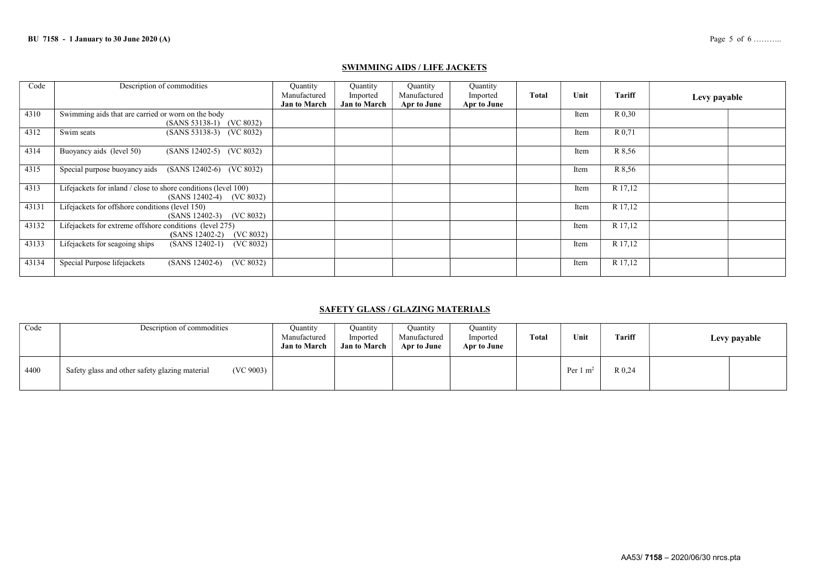### SWIMMING AIDS / LIFE JACKETS

| Code  | Description of commodities                                                                      | Quantity<br>Manufactured<br><b>Jan to March</b> | Ouantity<br>Imported<br><b>Jan to March</b> | Quantity<br>Manufactured<br>Apr to June | Quantity<br>Imported<br>Apr to June | Total | Unit | <b>Tariff</b> | Levy payable |  |
|-------|-------------------------------------------------------------------------------------------------|-------------------------------------------------|---------------------------------------------|-----------------------------------------|-------------------------------------|-------|------|---------------|--------------|--|
| 4310  | Swimming aids that are carried or worn on the body<br>(SANS 53138-1) (VC 8032)                  |                                                 |                                             |                                         |                                     |       | Item | R 0.30        |              |  |
| 4312  | (SANS 53138-3) (VC 8032)<br>Swim seats                                                          |                                                 |                                             |                                         |                                     |       | Item | R 0.71        |              |  |
| 4314  | Buoyancy aids (level 50)<br>$(SANS 12402-5)$ $(VC 8032)$                                        |                                                 |                                             |                                         |                                     |       | Item | R 8,56        |              |  |
| 4315  | Special purpose buoyancy aids<br>(SANS 12402-6) (VC 8032)                                       |                                                 |                                             |                                         |                                     |       | Item | R 8,56        |              |  |
| 4313  | Lifejackets for inland / close to shore conditions (level 100)<br>$(SANS 12402-4)$<br>(VC 8032) |                                                 |                                             |                                         |                                     |       | Item | R 17,12       |              |  |
| 43131 | Lifejackets for offshore conditions (level 150)<br>(VC 8032)<br>$(SANS 12402-3)$                |                                                 |                                             |                                         |                                     |       | Item | R 17,12       |              |  |
| 43132 | Lifejackets for extreme offshore conditions (level 275)<br>(VC 8032)<br>$(SANS 12402-2)$        |                                                 |                                             |                                         |                                     |       | Item | R 17,12       |              |  |
| 43133 | Lifejackets for seagoing ships<br>$(SANS 12402-1)$<br>(VC 8032)                                 |                                                 |                                             |                                         |                                     |       | Item | R 17,12       |              |  |
| 43134 | Special Purpose lifejackets<br>(VC 8032)<br>$(SANS 12402-6)$                                    |                                                 |                                             |                                         |                                     |       | Item | R 17,12       |              |  |

### SAFETY GLASS / GLAZING MATERIALS

| Code | Description of commodities                                  | Ouantity<br>Manufactured<br><b>Jan to March</b> | Quantity<br>Imported<br><b>Jan to March</b> | <b>Quantity</b><br>Manufactured<br>Apr to June | Ouantity<br>Imported<br>Apr to June | <b>Total</b> | Unit                | Tariff | Levy payable |
|------|-------------------------------------------------------------|-------------------------------------------------|---------------------------------------------|------------------------------------------------|-------------------------------------|--------------|---------------------|--------|--------------|
| 4400 | (VC 9003)<br>Safety glass and other safety glazing material |                                                 |                                             |                                                |                                     |              | Per $1 \text{ m}^2$ | R 0.24 |              |